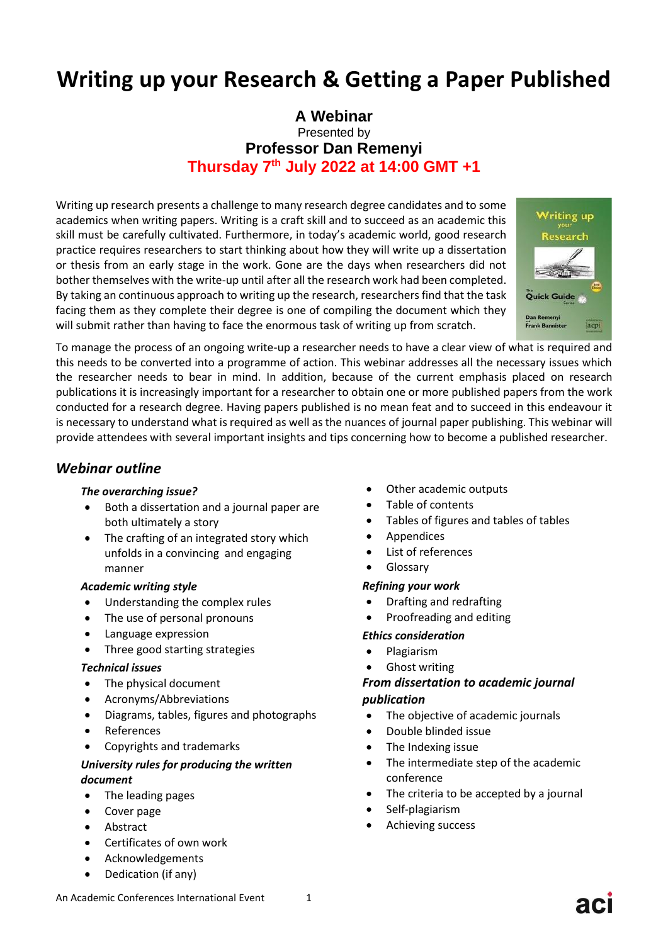# **Writing up your Research & Getting a Paper Published**

# **A Webinar** Presented by **Professor Dan Remenyi Thursday 7 th July 2022 at 14:00 GMT +1**

Writing up research presents a challenge to many research degree candidates and to some academics when writing papers. Writing is a craft skill and to succeed as an academic this skill must be carefully cultivated. Furthermore, in today's academic world, good research practice requires researchers to start thinking about how they will write up a dissertation or thesis from an early stage in the work. Gone are the days when researchers did not bother themselves with the write-up until after all the research work had been completed. By taking an continuous approach to writing up the research, researchers find that the task facing them as they complete their degree is one of compiling the document which they will submit rather than having to face the enormous task of writing up from scratch.



To manage the process of an ongoing write-up a researcher needs to have a clear view of what is required and this needs to be converted into a programme of action. This webinar addresses all the necessary issues which the researcher needs to bear in mind. In addition, because of the current emphasis placed on research publications it is increasingly important for a researcher to obtain one or more published papers from the work conducted for a research degree. Having papers published is no mean feat and to succeed in this endeavour it is necessary to understand what is required as well as the nuances of journal paper publishing. This webinar will provide attendees with several important insights and tips concerning how to become a published researcher.

## *Webinar outline*

#### *The overarching issue?*

- Both a dissertation and a journal paper are both ultimately a story
- The crafting of an integrated story which unfolds in a convincing and engaging manner

#### *Academic writing style*

- Understanding the complex rules
- The use of personal pronouns
- Language expression
- Three good starting strategies

#### *Technical issues*

- The physical document
- Acronyms/Abbreviations
- Diagrams, tables, figures and photographs
- References
- Copyrights and trademarks

#### *University rules for producing the written document*

- The leading pages
- Cover page
- Abstract
- Certificates of own work
- Acknowledgements
- Dedication (if any)
- Other academic outputs
- Table of contents
- Tables of figures and tables of tables
- Appendices
- List of references
- **Glossary**

#### *Refining your work*

- Drafting and redrafting
- Proofreading and editing

#### *Ethics consideration*

- Plagiarism
- Ghost writing

## *From dissertation to academic journal publication*

- The objective of academic journals
- Double blinded issue
- The Indexing issue
- The intermediate step of the academic conference
- The criteria to be accepted by a journal
- Self-plagiarism
- Achieving success